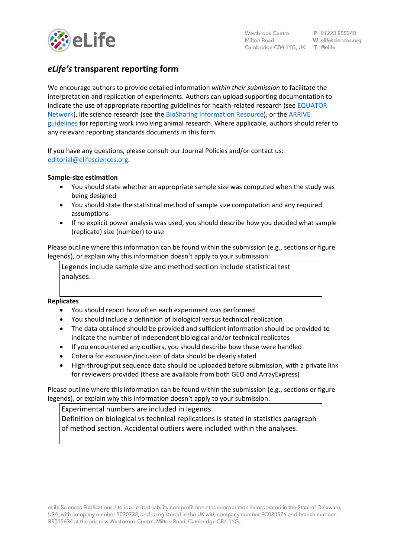

# *eLife's* **transparent reporting form**

We encourage authors to provide detailed information *within their submission* to facilitate the interpretation and replication of experiments. Authors can upload supporting documentation to indicate the use of appropriate reporting guidelines for health-related research (see [EQUATOR](http://www.equator-network.org/)  [Network\)](http://www.equator-network.org/), life science research (see the [BioSharing Information Resource\)](https://biosharing.org/), or the [ARRIVE](http://www.plosbiology.org/article/info:doi/10.1371/journal.pbio.1000412)  [guidelines](http://www.plosbiology.org/article/info:doi/10.1371/journal.pbio.1000412) for reporting work involving animal research. Where applicable, authors should refer to any relevant reporting standards documents in this form.

If you have any questions, please consult our Journal Policies and/or contact us: [editorial@elifesciences.org.](mailto:editorial@elifesciences.org)

## **Sample-size estimation**

- You should state whether an appropriate sample size was computed when the study was being designed
- You should state the statistical method of sample size computation and any required assumptions
- If no explicit power analysis was used, you should describe how you decided what sample (replicate) size (number) to use

Please outline where this information can be found within the submission (e.g., sections or figure legends), or explain why this information doesn't apply to your submission:

Legends include sample size and method section include statistical test analyses.

## **Replicates**

- You should report how often each experiment was performed
- You should include a definition of biological versus technical replication
- The data obtained should be provided and sufficient information should be provided to indicate the number of independent biological and/or technical replicates
- If you encountered any outliers, you should describe how these were handled
- Criteria for exclusion/inclusion of data should be clearly stated
- High-throughput sequence data should be uploaded before submission, with a private link for reviewers provided (these are available from both GEO and ArrayExpress)

Please outline where this information can be found within the submission (e.g., sections or figure legends), or explain why this information doesn't apply to your submission:

Experimental numbers are included in legends.

Definition on biological vs technical replications is stated in statistics paragraph of method section. Accidental outliers were included within the analyses.